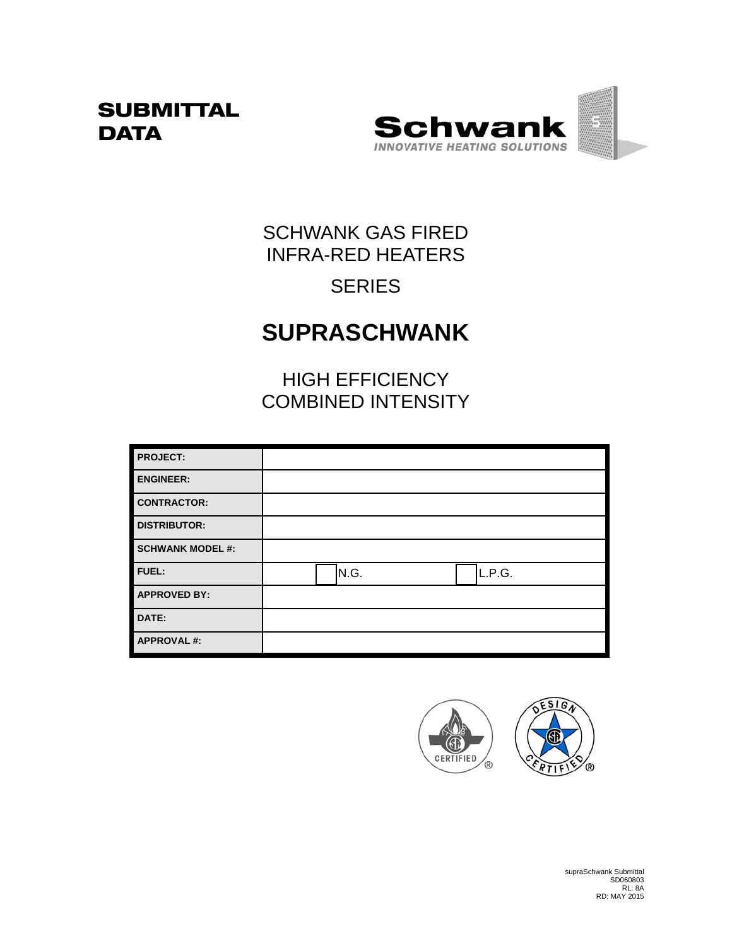## **SUBMITTAL DATA**



## SCHWANK GAS FIRED INFRA-RED HEATERS

## **SERIES**

# **SUPRASCHWANK**

HIGH EFFICIENCY COMBINED INTENSITY

| <b>PROJECT:</b>         |      |        |  |
|-------------------------|------|--------|--|
| <b>ENGINEER:</b>        |      |        |  |
| <b>CONTRACTOR:</b>      |      |        |  |
| <b>DISTRIBUTOR:</b>     |      |        |  |
| <b>SCHWANK MODEL #:</b> |      |        |  |
| FUEL:                   | N.G. | L.P.G. |  |
| <b>APPROVED BY:</b>     |      |        |  |
| DATE:                   |      |        |  |
| <b>APPROVAL#:</b>       |      |        |  |

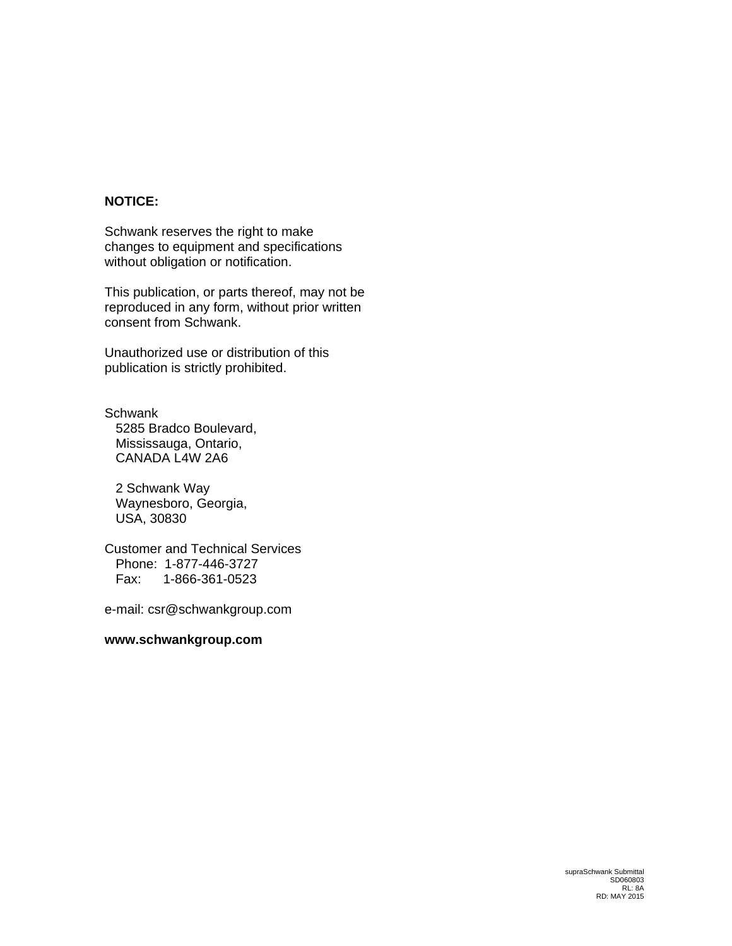#### **NOTICE:**

Schwank reserves the right to make changes to equipment and specifications without obligation or notification.

This publication, or parts thereof, may not be reproduced in any form, without prior written consent from Schwank.

Unauthorized use or distribution of this publication is strictly prohibited.

**Schwank**  5285 Bradco Boulevard, Mississauga, Ontario, CANADA L4W 2A6

 2 Schwank Way Waynesboro, Georgia, USA, 30830

Customer and Technical Services Phone: 1-877-446-3727 Fax: 1-866-361-0523

e-mail: csr@schwankgroup.com

#### **www.schwankgroup.com**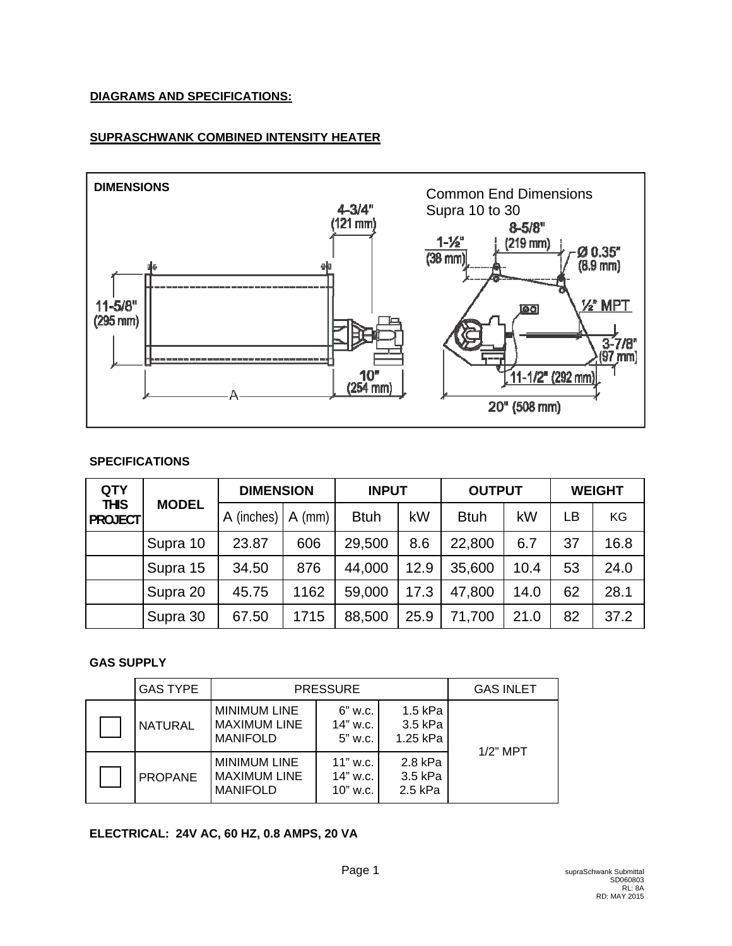#### **DIAGRAMS AND SPECIFICATIONS:**

#### **SUPRASCHWANK COMBINED INTENSITY HEATER**



#### **SPECIFICATIONS**

| <b>QTY</b>                    |              | <b>DIMENSION</b> |          | <b>INPUT</b> |      | <b>OUTPUT</b> |      | <b>WEIGHT</b> |      |
|-------------------------------|--------------|------------------|----------|--------------|------|---------------|------|---------------|------|
| <b>THIS</b><br><b>PROJECT</b> | <b>MODEL</b> | A (inches)       | $A$ (mm) | <b>Btuh</b>  | kW   | <b>Btuh</b>   | kW   | LB            | KG   |
|                               | Supra 10     | 23.87            | 606      | 29,500       | 8.6  | 22,800        | 6.7  | 37            | 16.8 |
|                               | Supra 15     | 34.50            | 876      | 44,000       | 12.9 | 35,600        | 10.4 | 53            | 24.0 |
|                               | Supra 20     | 45.75            | 1162     | 59,000       | 17.3 | 47,800        | 14.0 | 62            | 28.1 |
|                               | Supra 30     | 67.50            | 1715     | 88,500       | 25.9 | 71,700        | 21.0 | 82            | 37.2 |

#### **GAS SUPPLY**

| <b>GAS TYPE</b> | <b>PRESSURE</b>                                               |                                                                  |                                 | <b>GAS INLET</b> |
|-----------------|---------------------------------------------------------------|------------------------------------------------------------------|---------------------------------|------------------|
| <b>NATURAL</b>  | <b>MINIMUM LINE</b><br><b>MAXIMUM LINE</b><br><b>MANIFOLD</b> | 1.5 kPa<br>6" w.c.<br>3.5 kPa<br>14" w.c.<br>1.25 kPa<br>5" w.c. |                                 | $1/2$ " MPT      |
| <b>PROPANE</b>  | <b>MINIMUM LINE</b><br><b>MAXIMUM LINE</b><br><b>MANIFOLD</b> | $11"$ w.c.<br>14" w.c.<br>$10"$ w.c.                             | 2.8 kPa<br>3.5 kPa<br>$2.5$ kPa |                  |

#### **ELECTRICAL: 24V AC, 60 HZ, 0.8 AMPS, 20 VA**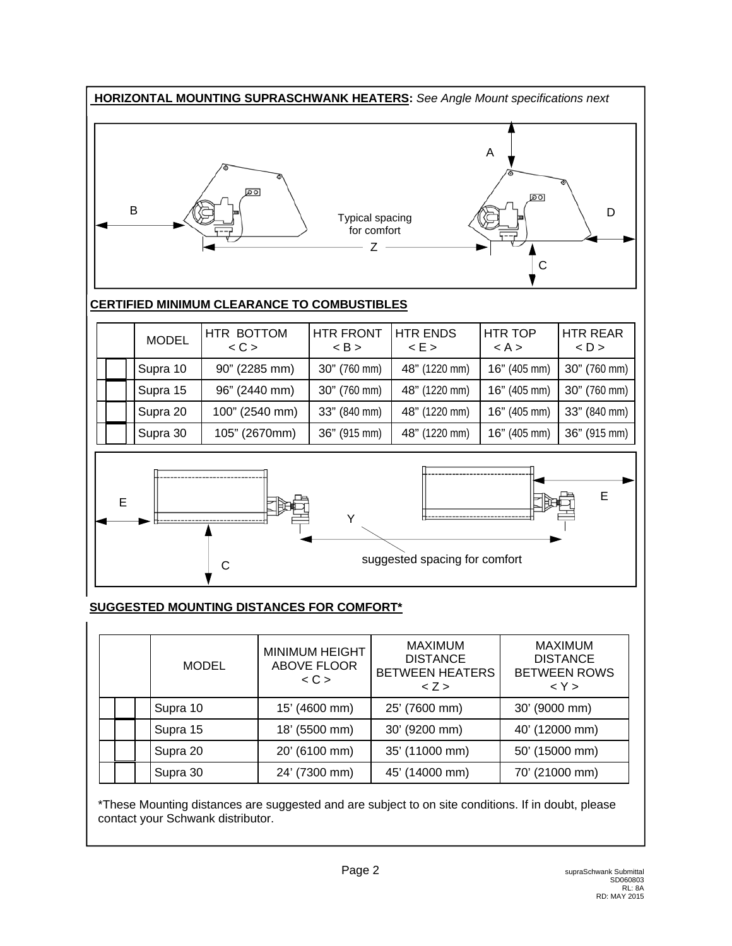

#### **SUGGESTED MOUNTING DISTANCES FOR COMFORT\***

|          |                      | <b>MODEL</b>  | <b>MINIMUM HEIGHT</b><br><b>ABOVE FLOOR</b><br>$\langle C \rangle$ | <b>MAXIMUM</b><br><b>DISTANCE</b><br><b>BETWEEN HEATERS</b><br>2 > | <b>MAXIMUM</b><br><b>DISTANCE</b><br><b>BETWEEN ROWS</b><br>< Y > |  |
|----------|----------------------|---------------|--------------------------------------------------------------------|--------------------------------------------------------------------|-------------------------------------------------------------------|--|
|          | Supra 10             |               | 15' (4600 mm)                                                      | 25' (7600 mm)                                                      | 30' (9000 mm)                                                     |  |
|          | Supra 15<br>Supra 20 |               | 18' (5500 mm)                                                      | 30' (9200 mm)                                                      | 40' (12000 mm)                                                    |  |
|          |                      |               | 20' (6100 mm)                                                      | 35' (11000 mm)                                                     | 50' (15000 mm)                                                    |  |
| Supra 30 |                      | 24' (7300 mm) | 45' (14000 mm)                                                     | 70' (21000 mm)                                                     |                                                                   |  |

\*These Mounting distances are suggested and are subject to on site conditions. If in doubt, please contact your Schwank distributor.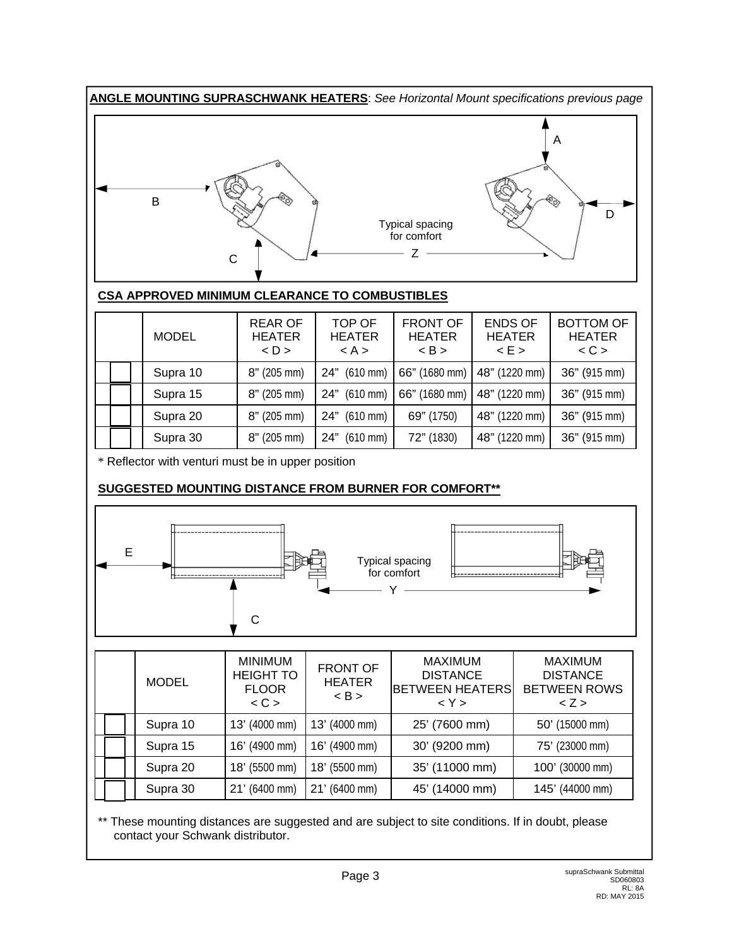

#### **CSA APPROVED MINIMUM CLEARANCE TO COMBUSTIBLES**

|  | <b>MODEL</b> | <b>REAR OF</b><br><b>HEATER</b><br>$<$ D $>$ | TOP OF<br><b>HEATER</b><br>< A > | <b>FRONT OF</b><br><b>HEATER</b><br>$\langle$ B $>$ | <b>ENDS OF</b><br><b>HEATER</b><br>$\leq$ E $>$ | <b>BOTTOM OF</b><br><b>HEATER</b><br>< C |
|--|--------------|----------------------------------------------|----------------------------------|-----------------------------------------------------|-------------------------------------------------|------------------------------------------|
|  | Supra 10     | $8"$ (205 mm)                                | $(610 \text{ mm})$<br>24"        | 66" (1680 mm)                                       | 48" (1220 mm)                                   | 36" (915 mm)                             |
|  | Supra 15     | $8"$ (205 mm)                                | $(610 \text{ mm})$<br>24"        | 66" (1680 mm)                                       | 48" (1220 mm)                                   | 36" (915 mm)                             |
|  | Supra 20     | $8"$ (205 mm)                                | $(610 \text{ mm})$<br>24"        | 69" (1750)                                          | 48" (1220 mm)                                   | 36" (915 mm)                             |
|  | Supra 30     | $8"$ (205 mm)                                | $(610 \, \text{mm})$<br>24"      | 72" (1830)                                          | 48" (1220 mm)                                   | 36" (915 mm)                             |

\* Reflector with venturi must be in upper position

### **SUGGESTED MOUNTING DISTANCE FROM BURNER FOR COMFORT\*\***



|  | <b>MODEL</b> | <b>MINIMUM</b><br><b>HEIGHT TO</b><br><b>FLOOR</b><br>< C | <b>FRONT OF</b><br><b>HEATER</b><br>< B > | <b>MAXIMUM</b><br><b>DISTANCE</b><br><b>BETWEEN HEATERS</b><br>< Y > | <b>MAXIMUM</b><br><b>DISTANCE</b><br><b>BETWEEN ROWS</b><br>2 > |
|--|--------------|-----------------------------------------------------------|-------------------------------------------|----------------------------------------------------------------------|-----------------------------------------------------------------|
|  | Supra 10     | 13' (4000 mm)                                             | 13' (4000 mm)                             | 25' (7600 mm)                                                        | 50' (15000 mm)                                                  |
|  | Supra 15     | 16' (4900 mm)                                             | 16' (4900 mm)                             | 30' (9200 mm)                                                        | 75' (23000 mm)                                                  |
|  | Supra 20     | 18' (5500 mm)                                             | 18' (5500 mm)                             | 35' (11000 mm)                                                       | 100' (30000 mm)                                                 |
|  | Supra 30     | 21' (6400 mm)                                             | 21' (6400 mm)                             | 45' (14000 mm)                                                       | 145' (44000 mm)                                                 |

\*\* These mounting distances are suggested and are subject to site conditions. If in doubt, please contact your Schwank distributor.